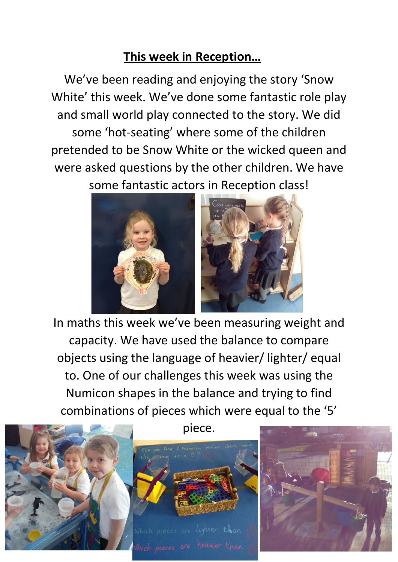## **This week in Reception…**

We've been reading and enjoying the story 'Snow White' this week. We've done some fantastic role play and small world play connected to the story. We did some 'hot-seating' where some of the children pretended to be Snow White or the wicked queen and were asked questions by the other children. We have some fantastic actors in Reception class!



In maths this week we've been measuring weight and capacity. We have used the balance to compare objects using the language of heavier/ lighter/ equal to. One of our challenges this week was using the Numicon shapes in the balance and trying to find combinations of pieces which were equal to the '5'

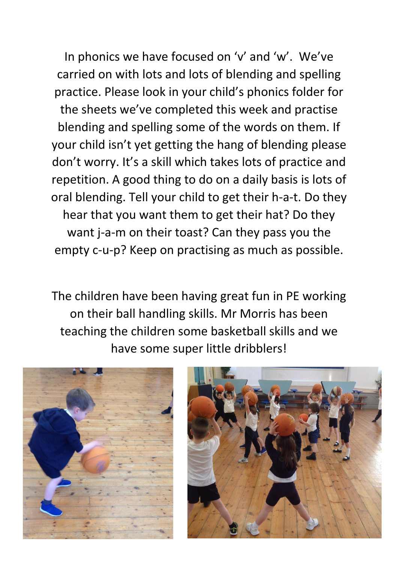In phonics we have focused on 'v' and 'w'. We've carried on with lots and lots of blending and spelling practice. Please look in your child's phonics folder for the sheets we've completed this week and practise blending and spelling some of the words on them. If your child isn't yet getting the hang of blending please don't worry. It's a skill which takes lots of practice and repetition. A good thing to do on a daily basis is lots of oral blending. Tell your child to get their h-a-t. Do they hear that you want them to get their hat? Do they want j-a-m on their toast? Can they pass you the empty c-u-p? Keep on practising as much as possible.

The children have been having great fun in PE working on their ball handling skills. Mr Morris has been teaching the children some basketball skills and we have some super little dribblers!